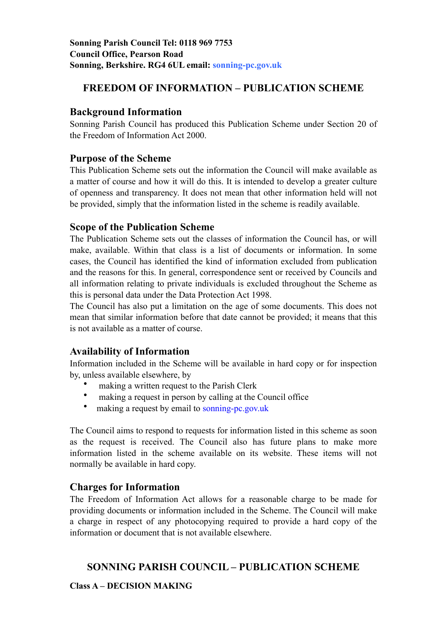# **FREEDOM OF INFORMATION – PUBLICATION SCHEME**

## **Background Information**

Sonning Parish Council has produced this Publication Scheme under Section 20 of the Freedom of Information Act 2000.

## **Purpose of the Scheme**

This Publication Scheme sets out the information the Council will make available as a matter of course and how it will do this. It is intended to develop a greater culture of openness and transparency. It does not mean that other information held will not be provided, simply that the information listed in the scheme is readily available.

## **Scope of the Publication Scheme**

The Publication Scheme sets out the classes of information the Council has, or will make, available. Within that class is a list of documents or information. In some cases, the Council has identified the kind of information excluded from publication and the reasons for this. In general, correspondence sent or received by Councils and all information relating to private individuals is excluded throughout the Scheme as this is personal data under the Data Protection Act 1998.

The Council has also put a limitation on the age of some documents. This does not mean that similar information before that date cannot be provided; it means that this is not available as a matter of course.

# **Availability of Information**

Information included in the Scheme will be available in hard copy or for inspection by, unless available elsewhere, by

- making a written request to the Parish Clerk
- making a request in person by calling at the Council office
- making a request by email to sonning-pc.gov.uk

The Council aims to respond to requests for information listed in this scheme as soon as the request is received. The Council also has future plans to make more information listed in the scheme available on its website. These items will not normally be available in hard copy.

# **Charges for Information**

The Freedom of Information Act allows for a reasonable charge to be made for providing documents or information included in the Scheme. The Council will make a charge in respect of any photocopying required to provide a hard copy of the information or document that is not available elsewhere.

# **SONNING PARISH COUNCIL – PUBLICATION SCHEME**

**Class A – DECISION MAKING**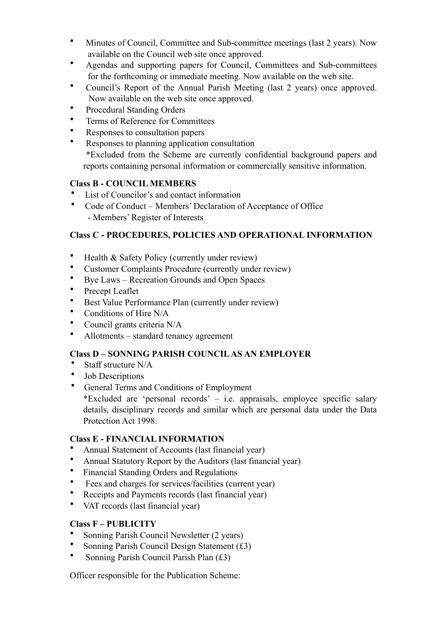- Minutes of Council, Committee and Sub-committee meetings (last 2 years). Now available on the Council web site once approved.
- Agendas and supporting papers for Council, Committees and Sub-committees for the forthcoming or immediate meeting. Now available on the web site.
- Council's Report of the Annual Parish Meeting (last 2 years) once approved. Now available on the web site once approved.
- Procedural Standing Orders
- Terms of Reference for Committees
- Responses to consultation papers
- Responses to planning application consultation \*Excluded from the Scheme are currently confidential background papers and reports containing personal information or commercially sensitive information.

### **Class B - COUNCIL MEMBERS**

- List of Councilor's and contact information
- Code of Conduct Members' Declaration of Acceptance of Office - Members' Register of Interests

### **Class C - PROCEDURES, POLICIES AND OPERATIONAL INFORMATION**

- Health & Safety Policy (currently under review)
- Customer Complaints Procedure (currently under review)
- Bye Laws Recreation Grounds and Open Spaces
- Precept Leaflet
- Best Value Performance Plan (currently under review)
- Conditions of Hire N/A
- Council grants criteria N/A
- Allotments standard tenancy agreement

### **Class D – SONNING PARISH COUNCIL AS AN EMPLOYER**

- Staff structure N/A
- Job Descriptions
- General Terms and Conditions of Employment \*Excluded are 'personal records' – i.e. appraisals, employee specific salary details, disciplinary records and similar which are personal data under the Data Protection Act 1998.

### **Class E - FINANCIAL INFORMATION**

- Annual Statement of Accounts (last financial year)
- Annual Statutory Report by the Auditors (last financial year)
- Financial Standing Orders and Regulations
- Fees and charges for services/facilities (current year)
- Receipts and Payments records (last financial year)
- VAT records (last financial year)

### **Class F – PUBLICITY**

- Sonning Parish Council Newsletter (2 years)
- Sonning Parish Council Design Statement (£3)
- Sonning Parish Council Parish Plan (£3)

Officer responsible for the Publication Scheme: